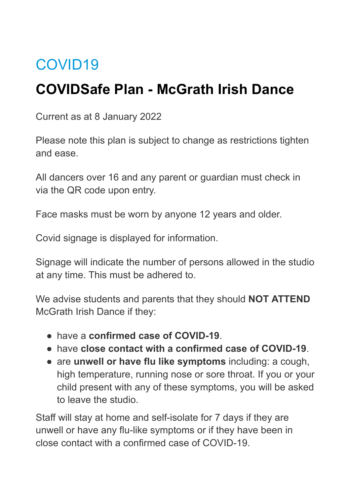# COVID19

## **COVIDSafe Plan - McGrath Irish Dance**

Current as at 8 January 2022

Please note this plan is subject to change as restrictions tighten and ease.

All dancers over 16 and any parent or guardian must check in via the QR code upon entry.

Face masks must be worn by anyone 12 years and older.

Covid signage is displayed for information.

Signage will indicate the number of persons allowed in the studio at any time. This must be adhered to.

We advise students and parents that they should **NOT ATTEND** McGrath Irish Dance if they:

- have a **confirmed case of COVID-19**.
- have **close contact with a confirmed case of COVID-19**.
- are **unwell or have flu like symptoms** including: a cough, high temperature, running nose or sore throat. If you or your child present with any of these symptoms, you will be asked to leave the studio.

Staff will stay at home and self-isolate for 7 days if they are unwell or have any flu-like symptoms or if they have been in close contact with a confirmed case of COVID-19.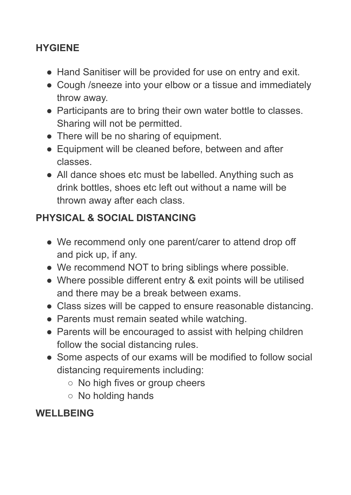### **HYGIENE**

- Hand Sanitiser will be provided for use on entry and exit.
- Cough /sneeze into your elbow or a tissue and immediately throw away.
- Participants are to bring their own water bottle to classes. Sharing will not be permitted.
- There will be no sharing of equipment.
- Equipment will be cleaned before, between and after classes.
- All dance shoes etc must be labelled. Anything such as drink bottles, shoes etc left out without a name will be thrown away after each class.

### **PHYSICAL & SOCIAL DISTANCING**

- We recommend only one parent/carer to attend drop off and pick up, if any.
- We recommend NOT to bring siblings where possible.
- Where possible different entry & exit points will be utilised and there may be a break between exams.
- Class sizes will be capped to ensure reasonable distancing.
- Parents must remain seated while watching.
- Parents will be encouraged to assist with helping children follow the social distancing rules.
- Some aspects of our exams will be modified to follow social distancing requirements including:
	- No high fives or group cheers
	- No holding hands

### WELL BEING